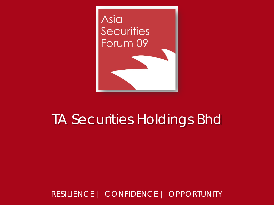

## TA Securities Holdings Bhd

RESILIENCE | CONFIDENCE | OPPORTUNITY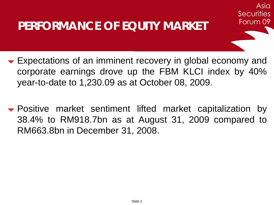### **PERFORMANCE OF EQUITY MARKET**

**Expectations of an imminent recovery in global economy and** corporate earnings drove up the FBM KLCI index by 40% year-to-date to 1,230.09 as at October 08, 2009.

Asia

Securities

Forum 09

 Positive market sentiment lifted market capitalization by 38.4% to RM918.7bn as at August 31, 2009 compared to RM663.8bn in December 31, 2008.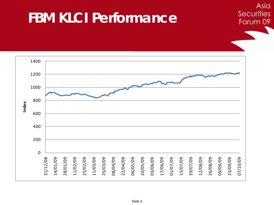# **FBM KLCI Performance**

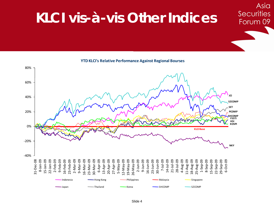# **KLCI vis-à-vis Other Indices**

Asia

**Securities** 

**YTD KLCI's Relative Performance Against Regional Bourses**

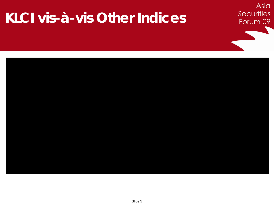# **KLCI vis-à-vis Other Indices**



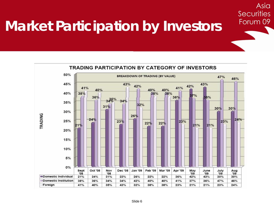# **Market Participation by Investors**



Asia

**Securities**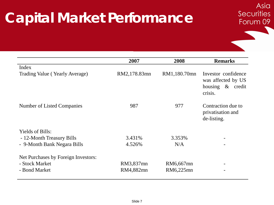# **Capital Market Performance**

|                                     | 2007         | 2008         | <b>Remarks</b>                                                           |  |
|-------------------------------------|--------------|--------------|--------------------------------------------------------------------------|--|
| Index                               |              |              |                                                                          |  |
| Trading Value (Yearly Average)      | RM2,178.83mn | RM1,180.70mn | Investor confidence<br>was affected by US<br>housing & credit<br>crisis. |  |
| Number of Listed Companies          | 987          | 977          | Contraction due to<br>privatisation and<br>de-listing.                   |  |
| <b>Yields of Bills:</b>             |              |              |                                                                          |  |
| - 12-Month Treasury Bills           | 3.431\%      | 3.353%       |                                                                          |  |
| - 9-Month Bank Negara Bills         | 4.526%       | N/A          |                                                                          |  |
| Net Purchases by Foreign Investors: |              |              |                                                                          |  |
| - Stock Market                      | RM3,837mn    | RM6,667mn    |                                                                          |  |
| - Bond Market                       | RM4,882mn    | RM6,225mn    |                                                                          |  |

Asia

**Securities**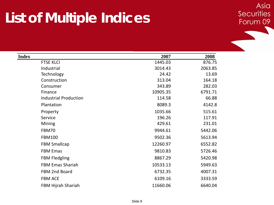# **List of Multiple Indices**

| <b>Index</b>                 | 2007     | 2008    |
|------------------------------|----------|---------|
| <b>FTSE KLCI</b>             | 1445.03  | 876.75  |
| Industrial                   | 3014.43  | 2063.85 |
| Technology                   | 24.42    | 13.69   |
| Construction                 | 313.04   | 164.18  |
| Consumer                     | 343.89   | 282.03  |
| Finance                      | 10905.35 | 6791.71 |
| <b>Industrial Production</b> | 114.58   | 66.88   |
| Plantation                   | 8089.3   | 4142.8  |
| Property                     | 1035.66  | 515.61  |
| Service                      | 196.26   | 117.91  |
| Mining                       | 429.61   | 231.01  |
| FBM70                        | 9944.61  | 5442.06 |
| <b>FBM100</b>                | 9502.36  | 5613.94 |
| <b>FBM Smallcap</b>          | 12260.97 | 6552.82 |
| <b>FBM Emas</b>              | 9810.83  | 5726.46 |
| <b>FBM Fledgling</b>         | 8867.29  | 5420.98 |
| <b>FBM Emas Shariah</b>      | 10533.13 | 5949.63 |
| FBM 2nd Board                | 6732.35  | 4007.31 |
| <b>FBM ACE</b>               | 6109.16  | 3333.59 |
| FBM Hijrah Shariah           | 11660.06 | 6640.04 |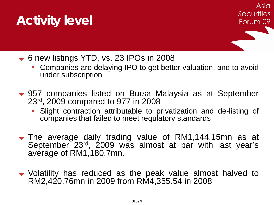## **Activity level**

- **► 6 new listings YTD, vs. 23 IPOs in 2008** 
	- Companies are delaying IPO to get better valuation, and to avoid under subscription
- 957 companies listed on Bursa Malaysia as at September 23rd , 2009 compared to 977 in 2008
	- Slight contraction attributable to privatization and de-listing of companies that failed to meet regulatory standards
- The average daily trading value of RM1,144.15mn as at September 23<sup>rd</sup>, 2009 was almost at par with last year's average of RM1,180.7mn.
- Volatility has reduced as the peak value almost halved to RM2,420.76mn in 2009 from RM4,355.54 in 2008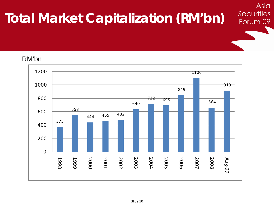# **Total Market Capitalization (RM'bn)**

#### RM'bn

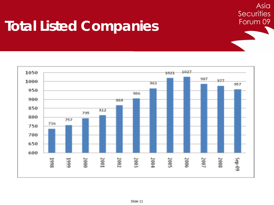# **Total Listed Companies**



Asia

**Securities**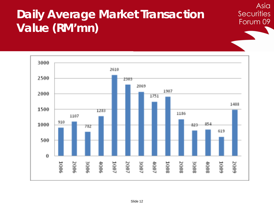### **Daily Average Market Transaction Value (RM'mn)**

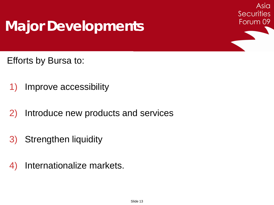# **Major Developments**

Asia **Securities** Forum 09

Efforts by Bursa to:

- 1) Improve accessibility
- 2) Introduce new products and services
- 3) Strengthen liquidity
- 4) Internationalize markets.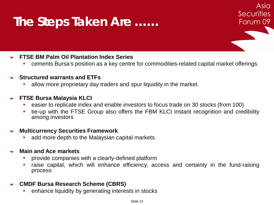## **The Steps Taken Are ……**

#### **FTSE BM Palm Oil Plantation Index Series**

cements Bursa's position as a key centre for commodities-related capital market offerings.

Asia

**Securities** 

Forum 09

#### **Structured warrants and ETFs**

allow more proprietary day traders and spur liquidity in the market.

#### **FTSE Bursa Malaysia KLCI**

- easier to replicate index and enable investors to focus trade on 30 stocks (from 100)
- tie-up with the FTSE Group also offers the FBM KLCI instant recognition and credibility among investors

#### **Multicurrency Securities Framework**

add more depth to the Malaysian capital markets.

#### **Main and Ace markets**

- provide companies with a clearly-defined platform
- raise capital, which will enhance efficiency, access and certainty in the fund-raising process

#### **CMDF Bursa Research Scheme (CBRS)**

enhance liquidity by generating interests in stocks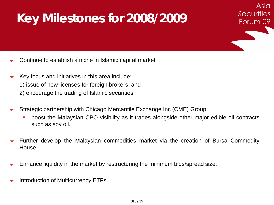## **Key Milestones for 2008/2009**

- Continue to establish a niche in Islamic capital market
- Key focus and initiatives in this area include: 1) issue of new licenses for foreign brokers, and 2) encourage the trading of Islamic securities.
- Strategic partnership with Chicago Mercantile Exchange Inc (CME) Group.
	- boost the Malaysian CPO visibility as it trades alongside other major edible oil contracts such as soy oil.

Asia

**Securities** 

- Further develop the Malaysian commodities market via the creation of Bursa Commodity House.
- Enhance liquidity in the market by restructuring the minimum bids/spread size.
- Introduction of Multicurrency ETFs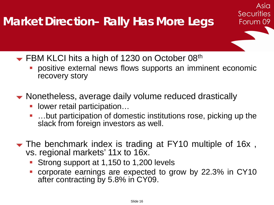### **Market Direction– Rally Has More Legs**

FBM KLCI hits a high of 1230 on October 08th

 positive external news flows supports an imminent economic recovery story

Asia

**Securities** 

- Nonetheless, average daily volume reduced drastically
	- **-** lower retail participation...
	- …but participation of domestic institutions rose, picking up the slack from foreign investors as well.
- The benchmark index is trading at FY10 multiple of 16x , vs. regional markets' 11x to 16x.
	- Strong support at 1,150 to 1,200 levels
	- corporate earnings are expected to grow by 22.3% in CY10 after contracting by 5.8% in CY09.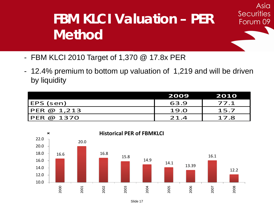# **FBM KLCI Valuation – PER Method**

Asia

**Securities** 

- FBM KLCI 2010 Target of 1,370 @ 17.8x PER
- 12.4% premium to bottom up valuation of 1,219 and will be driven by liquidity

|             | 2009 | 2010 |
|-------------|------|------|
| (EPS (sen)  | 63.9 | 77.1 |
| PER @ 1,213 | 19.0 | 15.7 |
| PER @ 1370  | 21.4 | 17.8 |

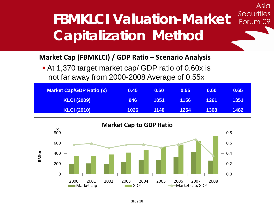### **Securities FBMKLCI Valuation-Market**  Forum 09 **Capitalization Method**

Asia

### **Market Cap (FBMKLCI) / GDP Ratio – Scenario Analysis**

 At 1,370 target market cap/ GDP ratio of 0.60x is not far away from 2000-2008 Average of 0.55x

| <b>Market Cap/GDP Ratio (x)</b> | 0.45 | 0.50 | 0.55 | 0.60 | 0.65 |
|---------------------------------|------|------|------|------|------|
| <b>KLCI (2009)</b>              | 946  | 1051 | 1156 | 1261 | 1351 |
| <b>KLCI (2010)</b>              | 1026 | 1140 | 1254 | 1368 | 1482 |

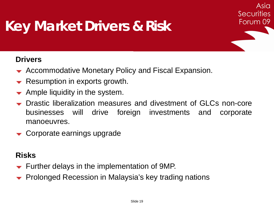# **Key Market Drivers & Risk**

### **Drivers**

- **►** Accommodative Monetary Policy and Fiscal Expansion.
- $\blacktriangleright$  Resumption in exports growth.
- Ample liquidity in the system.
- Drastic liberalization measures and divestment of GLCs non-core businesses will drive foreign investments and corporate manoeuvres.

Asia

**Securities** 

Forum 09

Corporate earnings upgrade

### **Risks**

- $\blacktriangleright$  Further delays in the implementation of 9MP.
- Prolonged Recession in Malaysia's key trading nations